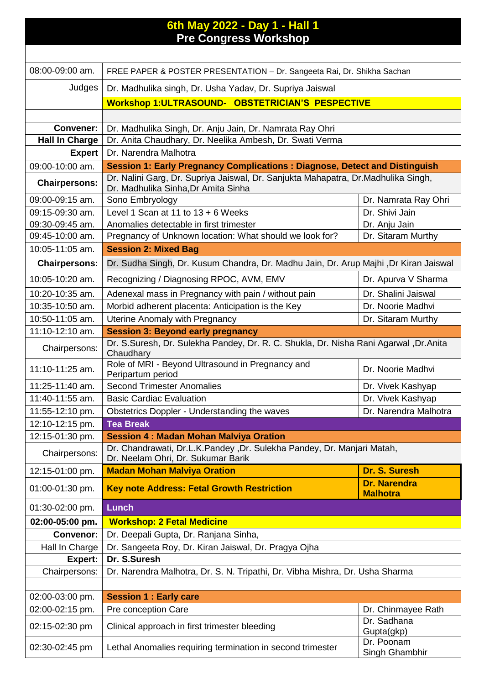|                       | 6th May 2022 - Day 1 - Hall 1<br><b>Pre Congress Workshop</b>                                                            |                                        |
|-----------------------|--------------------------------------------------------------------------------------------------------------------------|----------------------------------------|
|                       |                                                                                                                          |                                        |
| 08:00-09:00 am.       | FREE PAPER & POSTER PRESENTATION - Dr. Sangeeta Rai, Dr. Shikha Sachan                                                   |                                        |
| Judges                | Dr. Madhulika singh, Dr. Usha Yadav, Dr. Supriya Jaiswal                                                                 |                                        |
|                       | Workshop 1: ULTRASOUND- OBSTETRICIAN'S PESPECTIVE                                                                        |                                        |
|                       |                                                                                                                          |                                        |
| <b>Convener:</b>      | Dr. Madhulika Singh, Dr. Anju Jain, Dr. Namrata Ray Ohri                                                                 |                                        |
| <b>Hall In Charge</b> | Dr. Anita Chaudhary, Dr. Neelika Ambesh, Dr. Swati Verma                                                                 |                                        |
| <b>Expert</b>         | Dr. Narendra Malhotra                                                                                                    |                                        |
| 09:00-10:00 am.       | <b>Session 1: Early Pregnancy Complications: Diagnose, Detect and Distinguish</b>                                        |                                        |
| <b>Chairpersons:</b>  | Dr. Nalini Garg, Dr. Supriya Jaiswal, Dr. Sanjukta Mahapatra, Dr.Madhulika Singh,<br>Dr. Madhulika Sinha, Dr Amita Sinha |                                        |
| 09:00-09:15 am.       | Sono Embryology                                                                                                          | Dr. Namrata Ray Ohri                   |
| 09:15-09:30 am.       | Level 1 Scan at 11 to $13 + 6$ Weeks                                                                                     | Dr. Shivi Jain                         |
| 09:30-09:45 am.       | Anomalies detectable in first trimester                                                                                  | Dr. Anju Jain                          |
| 09:45-10:00 am.       | Pregnancy of Unknown location: What should we look for?                                                                  | Dr. Sitaram Murthy                     |
| 10:05-11:05 am.       | <b>Session 2: Mixed Bag</b>                                                                                              |                                        |
| <b>Chairpersons:</b>  | Dr. Sudha Singh, Dr. Kusum Chandra, Dr. Madhu Jain, Dr. Arup Majhi ,Dr Kiran Jaiswal                                     |                                        |
| 10:05-10:20 am.       | Recognizing / Diagnosing RPOC, AVM, EMV                                                                                  | Dr. Apurva V Sharma                    |
| 10:20-10:35 am.       | Adenexal mass in Pregnancy with pain / without pain                                                                      | Dr. Shalini Jaiswal                    |
| 10:35-10:50 am.       | Morbid adherent placenta: Anticipation is the Key                                                                        | Dr. Noorie Madhvi                      |
| 10:50-11:05 am.       | Uterine Anomaly with Pregnancy                                                                                           | Dr. Sitaram Murthy                     |
| 11:10-12:10 am.       | <b>Session 3: Beyond early pregnancy</b>                                                                                 |                                        |
| Chairpersons:         | Dr. S.Suresh, Dr. Sulekha Pandey, Dr. R. C. Shukla, Dr. Nisha Rani Agarwal, Dr.Anita<br>Chaudhary                        |                                        |
| 11:10-11:25 am.       | Role of MRI - Beyond Ultrasound in Pregnancy and<br>Peripartum period                                                    | Dr. Noorie Madhvi                      |
| 11:25-11:40 am.       | <b>Second Trimester Anomalies</b>                                                                                        | Dr. Vivek Kashyap                      |
| 11:40-11:55 am.       | <b>Basic Cardiac Evaluation</b>                                                                                          | Dr. Vivek Kashyap                      |
| 11:55-12:10 pm.       | Obstetrics Doppler - Understanding the waves                                                                             | Dr. Narendra Malhotra                  |
| 12:10-12:15 pm.       | <b>Tea Break</b>                                                                                                         |                                        |
| 12:15-01:30 pm.       | <b>Session 4: Madan Mohan Malviya Oration</b>                                                                            |                                        |
| Chairpersons:         | Dr. Chandrawati, Dr.L.K.Pandey ,Dr. Sulekha Pandey, Dr. Manjari Matah,<br>Dr. Neelam Ohri, Dr. Sukumar Barik             |                                        |
| 12:15-01:00 pm.       | <b>Madan Mohan Malviya Oration</b>                                                                                       | Dr. S. Suresh                          |
| 01:00-01:30 pm.       | <b>Key note Address: Fetal Growth Restriction</b>                                                                        | <b>Dr. Narendra</b><br><b>Malhotra</b> |
| 01:30-02:00 pm.       | <b>Lunch</b>                                                                                                             |                                        |
| 02:00-05:00 pm.       | <b>Workshop: 2 Fetal Medicine</b>                                                                                        |                                        |
| <b>Convenor:</b>      | Dr. Deepali Gupta, Dr. Ranjana Sinha,                                                                                    |                                        |
| Hall In Charge        | Dr. Sangeeta Roy, Dr. Kiran Jaiswal, Dr. Pragya Ojha                                                                     |                                        |
| Expert:               | Dr. S.Suresh                                                                                                             |                                        |
| Chairpersons:         | Dr. Narendra Malhotra, Dr. S. N. Tripathi, Dr. Vibha Mishra, Dr. Usha Sharma                                             |                                        |
|                       |                                                                                                                          |                                        |
| 02:00-03:00 pm.       | <b>Session 1: Early care</b>                                                                                             |                                        |
| 02:00-02:15 pm.       | Pre conception Care                                                                                                      | Dr. Chinmayee Rath<br>Dr. Sadhana      |
| 02:15-02:30 pm        | Clinical approach in first trimester bleeding                                                                            | Gupta(gkp)                             |
| 02:30-02:45 pm        | Lethal Anomalies requiring termination in second trimester                                                               | Dr. Poonam<br>Singh Ghambhir           |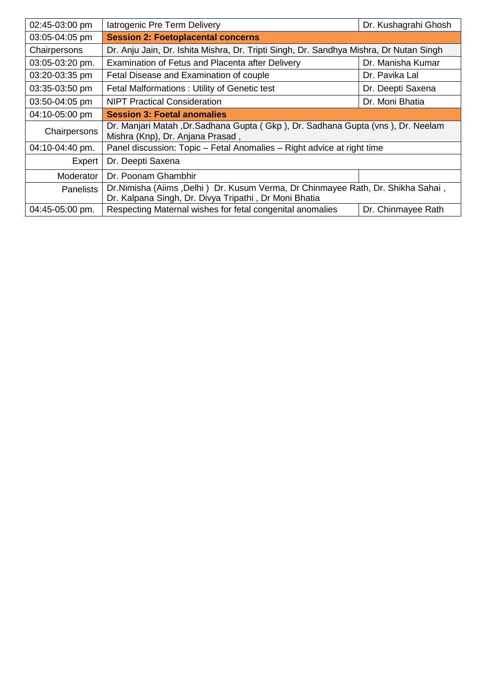| 02:45-03:00 pm   | latrogenic Pre Term Delivery                                                                                                              | Dr. Kushagrahi Ghosh |  |
|------------------|-------------------------------------------------------------------------------------------------------------------------------------------|----------------------|--|
| 03:05-04:05 pm   | <b>Session 2: Foetoplacental concerns</b>                                                                                                 |                      |  |
| Chairpersons     | Dr. Anju Jain, Dr. Ishita Mishra, Dr. Tripti Singh, Dr. Sandhya Mishra, Dr Nutan Singh                                                    |                      |  |
| 03:05-03:20 pm.  | Examination of Fetus and Placenta after Delivery                                                                                          | Dr. Manisha Kumar    |  |
| 03:20-03:35 pm   | Fetal Disease and Examination of couple                                                                                                   | Dr. Pavika Lal       |  |
| 03:35-03:50 pm   | Fetal Malformations: Utility of Genetic test                                                                                              | Dr. Deepti Saxena    |  |
| 03:50-04:05 pm   | <b>NIPT Practical Consideration</b>                                                                                                       | Dr. Moni Bhatia      |  |
| 04:10-05:00 pm   | <b>Session 3: Foetal anomalies</b>                                                                                                        |                      |  |
| Chairpersons     | Dr. Manjari Matah , Dr. Sadhana Gupta (Gkp), Dr. Sadhana Gupta (vns), Dr. Neelam<br>Mishra (Knp), Dr. Anjana Prasad,                      |                      |  |
| 04:10-04:40 pm.  | Panel discussion: Topic - Fetal Anomalies - Right advice at right time                                                                    |                      |  |
| Expert           | Dr. Deepti Saxena                                                                                                                         |                      |  |
| Moderator        | Dr. Poonam Ghambhir                                                                                                                       |                      |  |
| <b>Panelists</b> | Dr. Nimisha (Aiims, Delhi) Dr. Kusum Verma, Dr Chinmayee Rath, Dr. Shikha Sahai,<br>Dr. Kalpana Singh, Dr. Divya Tripathi, Dr Moni Bhatia |                      |  |
| 04:45-05:00 pm.  | Respecting Maternal wishes for fetal congenital anomalies                                                                                 | Dr. Chinmayee Rath   |  |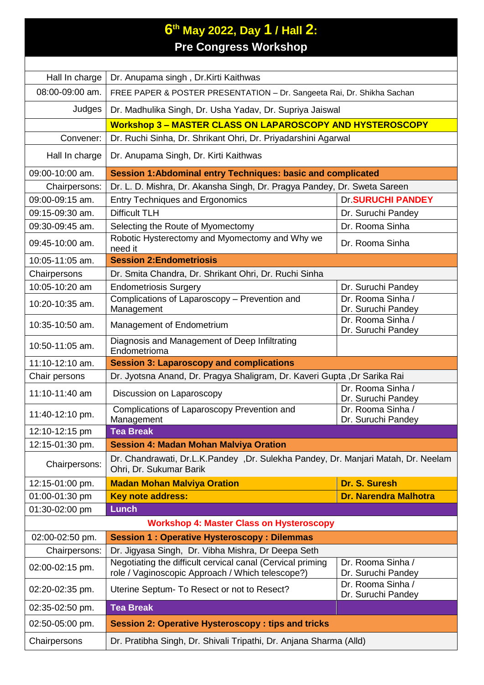## **6 th May 2022, Day 1 / Hall 2: Pre Congress Workshop**

| Hall In charge  | Dr. Anupama singh, Dr.Kirti Kaithwas                                                                           |                                         |  |
|-----------------|----------------------------------------------------------------------------------------------------------------|-----------------------------------------|--|
| 08:00-09:00 am. | FREE PAPER & POSTER PRESENTATION - Dr. Sangeeta Rai, Dr. Shikha Sachan                                         |                                         |  |
| Judges          | Dr. Madhulika Singh, Dr. Usha Yadav, Dr. Supriya Jaiswal                                                       |                                         |  |
|                 | Workshop 3 - MASTER CLASS ON LAPAROSCOPY AND HYSTEROSCOPY                                                      |                                         |  |
| Convener:       | Dr. Ruchi Sinha, Dr. Shrikant Ohri, Dr. Priyadarshini Agarwal                                                  |                                         |  |
| Hall In charge  | Dr. Anupama Singh, Dr. Kirti Kaithwas                                                                          |                                         |  |
| 09:00-10:00 am. | Session 1: Abdominal entry Techniques: basic and complicated                                                   |                                         |  |
| Chairpersons:   | Dr. L. D. Mishra, Dr. Akansha Singh, Dr. Pragya Pandey, Dr. Sweta Sareen                                       |                                         |  |
| 09:00-09:15 am. | <b>Entry Techniques and Ergonomics</b>                                                                         | <b>Dr.SURUCHI PANDEY</b>                |  |
| 09:15-09:30 am. | <b>Difficult TLH</b>                                                                                           | Dr. Suruchi Pandey                      |  |
| 09:30-09:45 am. | Selecting the Route of Myomectomy                                                                              | Dr. Rooma Sinha                         |  |
| 09:45-10:00 am. | Robotic Hysterectomy and Myomectomy and Why we<br>need it                                                      | Dr. Rooma Sinha                         |  |
| 10:05-11:05 am. | <b>Session 2: Endometriosis</b>                                                                                |                                         |  |
| Chairpersons    | Dr. Smita Chandra, Dr. Shrikant Ohri, Dr. Ruchi Sinha                                                          |                                         |  |
| 10:05-10:20 am  | <b>Endometriosis Surgery</b>                                                                                   | Dr. Suruchi Pandey                      |  |
| 10:20-10:35 am. | Complications of Laparoscopy - Prevention and<br>Management                                                    | Dr. Rooma Sinha /<br>Dr. Suruchi Pandey |  |
| 10:35-10:50 am. | Management of Endometrium                                                                                      | Dr. Rooma Sinha /<br>Dr. Suruchi Pandey |  |
| 10:50-11:05 am. | Diagnosis and Management of Deep Infiltrating<br>Endometrioma                                                  |                                         |  |
| 11:10-12:10 am. | <b>Session 3: Laparoscopy and complications</b>                                                                |                                         |  |
| Chair persons   | Dr. Jyotsna Anand, Dr. Pragya Shaligram, Dr. Kaveri Gupta ,Dr Sarika Rai                                       |                                         |  |
| 11:10-11:40 am  | Discussion on Laparoscopy                                                                                      | Dr. Rooma Sinha /<br>Dr. Suruchi Pandey |  |
| 11:40-12:10 pm. | Complications of Laparoscopy Prevention and<br>Management                                                      | Dr. Rooma Sinha /<br>Dr. Suruchi Pandey |  |
| 12:10-12:15 pm  | <b>Tea Break</b>                                                                                               |                                         |  |
| 12:15-01:30 pm. | <b>Session 4: Madan Mohan Malviya Oration</b>                                                                  |                                         |  |
| Chairpersons:   | Dr. Chandrawati, Dr.L.K.Pandey, Dr. Sulekha Pandey, Dr. Manjari Matah, Dr. Neelam<br>Ohri, Dr. Sukumar Barik   |                                         |  |
| 12:15-01:00 pm. | Dr. S. Suresh<br><b>Madan Mohan Malviya Oration</b>                                                            |                                         |  |
| 01:00-01:30 pm  | Key note address:                                                                                              | <b>Dr. Narendra Malhotra</b>            |  |
| 01:30-02:00 pm  | <b>Lunch</b>                                                                                                   |                                         |  |
|                 | <b>Workshop 4: Master Class on Hysteroscopy</b>                                                                |                                         |  |
| 02:00-02:50 pm. | <b>Session 1: Operative Hysteroscopy: Dilemmas</b>                                                             |                                         |  |
| Chairpersons:   | Dr. Jigyasa Singh, Dr. Vibha Mishra, Dr Deepa Seth                                                             |                                         |  |
| 02:00-02:15 pm. | Negotiating the difficult cervical canal (Cervical priming<br>role / Vaginoscopic Approach / Which telescope?) | Dr. Rooma Sinha /<br>Dr. Suruchi Pandey |  |
| 02:20-02:35 pm. | Uterine Septum- To Resect or not to Resect?                                                                    | Dr. Rooma Sinha /<br>Dr. Suruchi Pandey |  |
| 02:35-02:50 pm. | <b>Tea Break</b>                                                                                               |                                         |  |
| 02:50-05:00 pm. | <b>Session 2: Operative Hysteroscopy: tips and tricks</b>                                                      |                                         |  |
| Chairpersons    | Dr. Pratibha Singh, Dr. Shivali Tripathi, Dr. Anjana Sharma (Alld)                                             |                                         |  |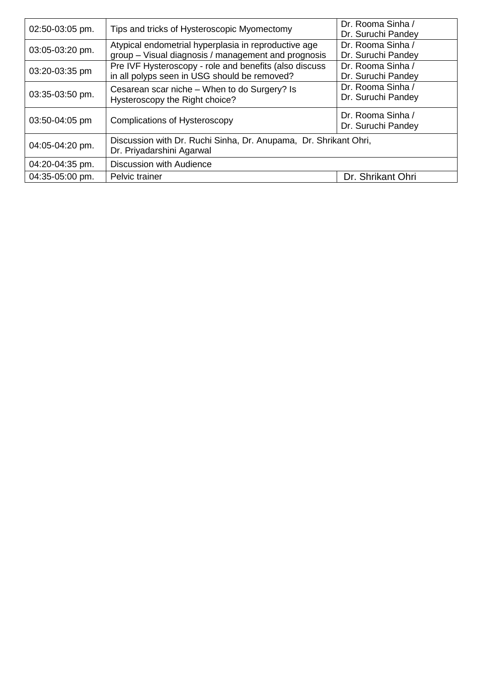| 02:50-03:05 pm. | Tips and tricks of Hysteroscopic Myomectomy                                                                 | Dr. Rooma Sinha /<br>Dr. Suruchi Pandey |
|-----------------|-------------------------------------------------------------------------------------------------------------|-----------------------------------------|
| 03:05-03:20 pm. | Atypical endometrial hyperplasia in reproductive age<br>group - Visual diagnosis / management and prognosis | Dr. Rooma Sinha /<br>Dr. Suruchi Pandey |
| 03:20-03:35 pm  | Pre IVF Hysteroscopy - role and benefits (also discuss<br>in all polyps seen in USG should be removed?      | Dr. Rooma Sinha /<br>Dr. Suruchi Pandey |
| 03:35-03:50 pm. | Cesarean scar niche – When to do Surgery? Is<br>Hysteroscopy the Right choice?                              | Dr. Rooma Sinha /<br>Dr. Suruchi Pandey |
| 03:50-04:05 pm  | Complications of Hysteroscopy                                                                               | Dr. Rooma Sinha /<br>Dr. Suruchi Pandey |
| 04:05-04:20 pm. | Discussion with Dr. Ruchi Sinha, Dr. Anupama, Dr. Shrikant Ohri,<br>Dr. Priyadarshini Agarwal               |                                         |
| 04:20-04:35 pm. | <b>Discussion with Audience</b>                                                                             |                                         |
| 04:35-05:00 pm. | Pelvic trainer                                                                                              | Dr. Shrikant Ohri                       |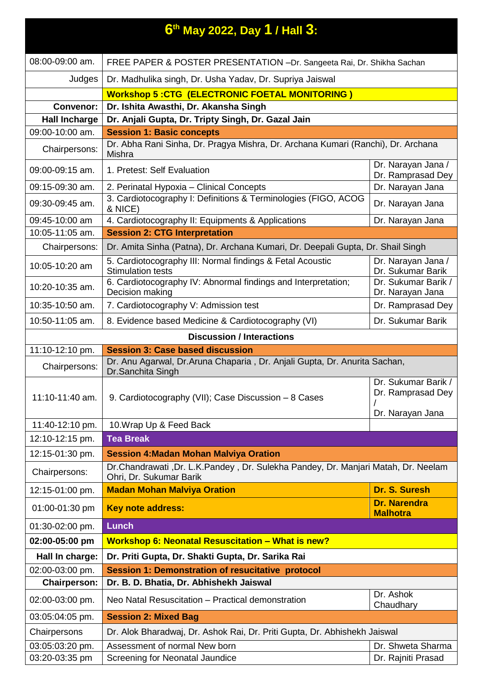|                      | $6$ <sup>th</sup> May 2022, Day 1 / Hall $3$ :                                                               |                                                              |
|----------------------|--------------------------------------------------------------------------------------------------------------|--------------------------------------------------------------|
| 08:00-09:00 am.      | FREE PAPER & POSTER PRESENTATION -Dr. Sangeeta Rai, Dr. Shikha Sachan                                        |                                                              |
| Judges               | Dr. Madhulika singh, Dr. Usha Yadav, Dr. Supriya Jaiswal                                                     |                                                              |
|                      | <b>Workshop 5:CTG (ELECTRONIC FOETAL MONITORING)</b>                                                         |                                                              |
| <b>Convenor:</b>     | Dr. Ishita Awasthi, Dr. Akansha Singh                                                                        |                                                              |
| <b>Hall Incharge</b> | Dr. Anjali Gupta, Dr. Tripty Singh, Dr. Gazal Jain                                                           |                                                              |
| 09:00-10:00 am.      | <b>Session 1: Basic concepts</b>                                                                             |                                                              |
| Chairpersons:        | Dr. Abha Rani Sinha, Dr. Pragya Mishra, Dr. Archana Kumari (Ranchi), Dr. Archana<br>Mishra                   |                                                              |
| 09:00-09:15 am.      | 1. Pretest: Self Evaluation                                                                                  | Dr. Narayan Jana /<br>Dr. Ramprasad Dey                      |
| 09:15-09:30 am.      | 2. Perinatal Hypoxia - Clinical Concepts                                                                     | Dr. Narayan Jana                                             |
| 09:30-09:45 am.      | 3. Cardiotocography I: Definitions & Terminologies (FIGO, ACOG<br>& NICE)                                    | Dr. Narayan Jana                                             |
| 09:45-10:00 am       | 4. Cardiotocography II: Equipments & Applications                                                            | Dr. Narayan Jana                                             |
| 10:05-11:05 am.      | <b>Session 2: CTG Interpretation</b>                                                                         |                                                              |
| Chairpersons:        | Dr. Amita Sinha (Patna), Dr. Archana Kumari, Dr. Deepali Gupta, Dr. Shail Singh                              |                                                              |
| 10:05-10:20 am       | 5. Cardiotocography III: Normal findings & Fetal Acoustic<br><b>Stimulation tests</b>                        | Dr. Narayan Jana /<br>Dr. Sukumar Barik                      |
| 10:20-10:35 am.      | 6. Cardiotocography IV: Abnormal findings and Interpretation;<br>Decision making                             | Dr. Sukumar Barik /<br>Dr. Narayan Jana                      |
| 10:35-10:50 am.      | 7. Cardiotocography V: Admission test                                                                        | Dr. Ramprasad Dey                                            |
| 10:50-11:05 am.      | 8. Evidence based Medicine & Cardiotocography (VI)                                                           | Dr. Sukumar Barik                                            |
|                      | <b>Discussion / Interactions</b>                                                                             |                                                              |
| 11:10-12:10 pm.      | <b>Session 3: Case based discussion</b>                                                                      |                                                              |
| Chairpersons:        | Dr. Anu Agarwal, Dr. Aruna Chaparia, Dr. Anjali Gupta, Dr. Anurita Sachan,<br>Dr.Sanchita Singh              |                                                              |
| 11:10-11:40 am.      | 9. Cardiotocography (VII); Case Discussion - 8 Cases                                                         | Dr. Sukumar Barik /<br>Dr. Ramprasad Dey<br>Dr. Narayan Jana |
| 11:40-12:10 pm.      | 10. Wrap Up & Feed Back                                                                                      |                                                              |
| 12:10-12:15 pm.      | <b>Tea Break</b>                                                                                             |                                                              |
| 12:15-01:30 pm.      | <b>Session 4: Madan Mohan Malviya Oration</b>                                                                |                                                              |
| Chairpersons:        | Dr.Chandrawati, Dr. L.K.Pandey, Dr. Sulekha Pandey, Dr. Manjari Matah, Dr. Neelam<br>Ohri, Dr. Sukumar Barik |                                                              |
| 12:15-01:00 pm.      | <b>Madan Mohan Malviya Oration</b>                                                                           | Dr. S. Suresh                                                |
| 01:00-01:30 pm       | Key note address:                                                                                            | <b>Dr. Narendra</b><br><b>Malhotra</b>                       |
| 01:30-02:00 pm.      | <b>Lunch</b>                                                                                                 |                                                              |
| 02:00-05:00 pm       | Workshop 6: Neonatal Resuscitation - What is new?                                                            |                                                              |
| Hall In charge:      | Dr. Priti Gupta, Dr. Shakti Gupta, Dr. Sarika Rai                                                            |                                                              |
| 02:00-03:00 pm.      | <b>Session 1: Demonstration of resucitative protocol</b>                                                     |                                                              |
| <b>Chairperson:</b>  | Dr. B. D. Bhatia, Dr. Abhishekh Jaiswal                                                                      |                                                              |
| 02:00-03:00 pm.      | Neo Natal Resuscitation - Practical demonstration                                                            | Dr. Ashok<br>Chaudhary                                       |
| 03:05:04:05 pm.      | <b>Session 2: Mixed Bag</b>                                                                                  |                                                              |
| Chairpersons         | Dr. Alok Bharadwaj, Dr. Ashok Rai, Dr. Priti Gupta, Dr. Abhishekh Jaiswal                                    |                                                              |
| 03:05:03:20 pm.      | Assessment of normal New born                                                                                | Dr. Shweta Sharma                                            |
| 03:20-03:35 pm       | Screening for Neonatal Jaundice                                                                              | Dr. Rajniti Prasad                                           |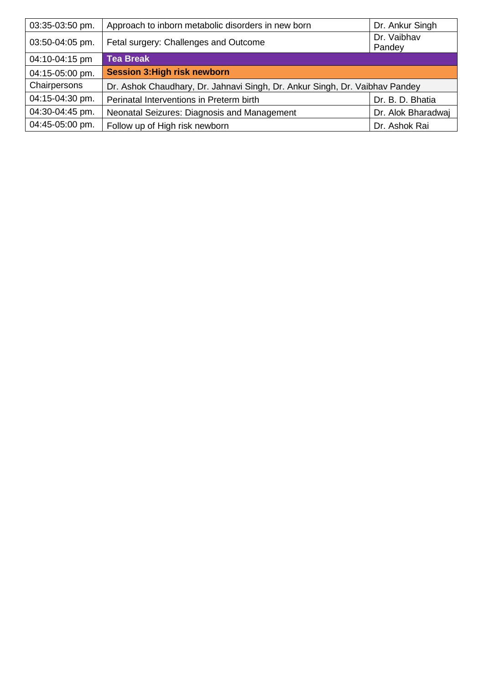| 03:35-03:50 pm. | Approach to inborn metabolic disorders in new born                          | Dr. Ankur Singh       |
|-----------------|-----------------------------------------------------------------------------|-----------------------|
| 03:50-04:05 pm. | Fetal surgery: Challenges and Outcome                                       | Dr. Vaibhav<br>Pandey |
| 04:10-04:15 pm  | <b>Tea Break</b>                                                            |                       |
| 04:15-05:00 pm. | <b>Session 3: High risk newborn</b>                                         |                       |
| Chairpersons    | Dr. Ashok Chaudhary, Dr. Jahnavi Singh, Dr. Ankur Singh, Dr. Vaibhav Pandey |                       |
| 04:15-04:30 pm. | Perinatal Interventions in Preterm birth                                    | Dr. B. D. Bhatia      |
| 04:30-04:45 pm. | Neonatal Seizures: Diagnosis and Management                                 | Dr. Alok Bharadwaj    |
| 04:45-05:00 pm. | Follow up of High risk newborn                                              | Dr. Ashok Rai         |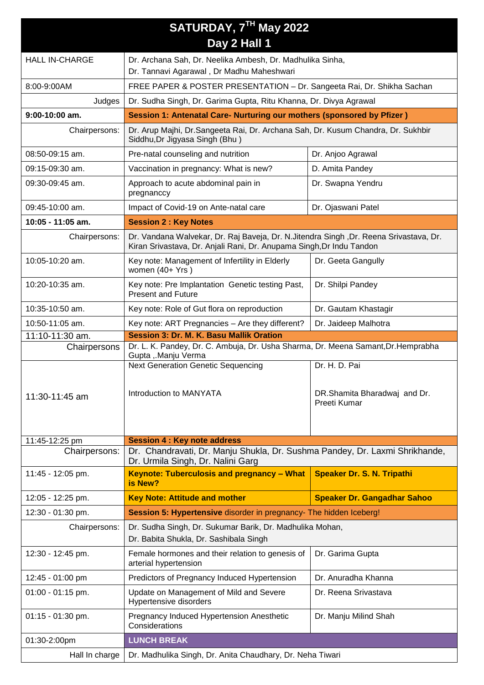| SATURDAY, 7TH May 2022 |                                                                                                                                                                 |                                                               |  |  |
|------------------------|-----------------------------------------------------------------------------------------------------------------------------------------------------------------|---------------------------------------------------------------|--|--|
|                        | Day 2 Hall 1                                                                                                                                                    |                                                               |  |  |
| <b>HALL IN-CHARGE</b>  | Dr. Archana Sah, Dr. Neelika Ambesh, Dr. Madhulika Sinha,                                                                                                       |                                                               |  |  |
|                        | Dr. Tannavi Agarawal, Dr Madhu Maheshwari                                                                                                                       |                                                               |  |  |
| 8:00-9:00AM            | FREE PAPER & POSTER PRESENTATION - Dr. Sangeeta Rai, Dr. Shikha Sachan                                                                                          |                                                               |  |  |
| Judges                 | Dr. Sudha Singh, Dr. Garima Gupta, Ritu Khanna, Dr. Divya Agrawal                                                                                               |                                                               |  |  |
| $9:00-10:00$ am.       | Session 1: Antenatal Care- Nurturing our mothers (sponsored by Pfizer)                                                                                          |                                                               |  |  |
| Chairpersons:          | Dr. Arup Majhi, Dr.Sangeeta Rai, Dr. Archana Sah, Dr. Kusum Chandra, Dr. Sukhbir<br>Siddhu, Dr Jigyasa Singh (Bhu)                                              |                                                               |  |  |
| $08:50-09:15$ am.      | Pre-natal counseling and nutrition                                                                                                                              | Dr. Anjoo Agrawal                                             |  |  |
| 09:15-09:30 am.        | Vaccination in pregnancy: What is new?                                                                                                                          | D. Amita Pandey                                               |  |  |
| 09:30-09:45 am.        | Approach to acute abdominal pain in<br>pregnanccy                                                                                                               | Dr. Swapna Yendru                                             |  |  |
| 09:45-10:00 am.        | Impact of Covid-19 on Ante-natal care                                                                                                                           | Dr. Ojaswani Patel                                            |  |  |
| 10:05 - 11:05 am.      | <b>Session 2: Key Notes</b>                                                                                                                                     |                                                               |  |  |
| Chairpersons:          | Dr. Vandana Walvekar, Dr. Raj Baveja, Dr. N. Jitendra Singh , Dr. Reena Srivastava, Dr.<br>Kiran Srivastava, Dr. Anjali Rani, Dr. Anupama Singh, Dr Indu Tandon |                                                               |  |  |
| 10:05-10:20 am.        | Key note: Management of Infertility in Elderly<br>Dr. Geeta Gangully<br>women (40+ Yrs)                                                                         |                                                               |  |  |
| 10:20-10:35 am.        | Key note: Pre Implantation Genetic testing Past,<br>Dr. Shilpi Pandey<br><b>Present and Future</b>                                                              |                                                               |  |  |
| 10:35-10:50 am.        | Key note: Role of Gut flora on reproduction<br>Dr. Gautam Khastagir                                                                                             |                                                               |  |  |
| 10:50-11:05 am.        | Key note: ART Pregnancies - Are they different?<br>Dr. Jaideep Malhotra                                                                                         |                                                               |  |  |
| 11:10-11:30 am.        | Session 3: Dr. M. K. Basu Mallik Oration                                                                                                                        |                                                               |  |  |
| Chairpersons           | Dr. L. K. Pandey, Dr. C. Ambuja, Dr. Usha Sharma, Dr. Meena Samant, Dr. Hemprabha<br>Gupta ,.Manju Verma                                                        |                                                               |  |  |
| 11:30-11:45 am         | <b>Next Generation Genetic Sequencing</b><br>Introduction to MANYATA                                                                                            | Dr. H. D. Pai<br>DR.Shamita Bharadwaj and Dr.<br>Preeti Kumar |  |  |
| 11:45-12:25 pm         | <b>Session 4: Key note address</b>                                                                                                                              |                                                               |  |  |
| Chairpersons:          | Dr. Chandravati, Dr. Manju Shukla, Dr. Sushma Pandey, Dr. Laxmi Shrikhande,<br>Dr. Urmila Singh, Dr. Nalini Garg                                                |                                                               |  |  |
| 11:45 - 12:05 pm.      | Keynote: Tuberculosis and pregnancy - What<br>is New?                                                                                                           | <b>Speaker Dr. S. N. Tripathi</b>                             |  |  |
| 12:05 - 12:25 pm.      | <b>Key Note: Attitude and mother</b>                                                                                                                            | <b>Speaker Dr. Gangadhar Sahoo</b>                            |  |  |
| 12:30 - 01:30 pm.      | Session 5: Hypertensive disorder in pregnancy- The hidden Iceberg!                                                                                              |                                                               |  |  |
| Chairpersons:          | Dr. Sudha Singh, Dr. Sukumar Barik, Dr. Madhulika Mohan,<br>Dr. Babita Shukla, Dr. Sashibala Singh                                                              |                                                               |  |  |
| 12:30 - 12:45 pm.      | Female hormones and their relation to genesis of<br>arterial hypertension                                                                                       | Dr. Garima Gupta                                              |  |  |
| 12:45 - 01:00 pm       | Predictors of Pregnancy Induced Hypertension                                                                                                                    | Dr. Anuradha Khanna                                           |  |  |
| 01:00 - 01:15 pm.      | Update on Management of Mild and Severe<br>Hypertensive disorders                                                                                               | Dr. Reena Srivastava                                          |  |  |
| 01:15 - 01:30 pm.      | Pregnancy Induced Hypertension Anesthetic<br>Considerations                                                                                                     | Dr. Manju Milind Shah                                         |  |  |
| 01:30-2:00pm           | <b>LUNCH BREAK</b>                                                                                                                                              |                                                               |  |  |
| Hall In charge         | Dr. Madhulika Singh, Dr. Anita Chaudhary, Dr. Neha Tiwari                                                                                                       |                                                               |  |  |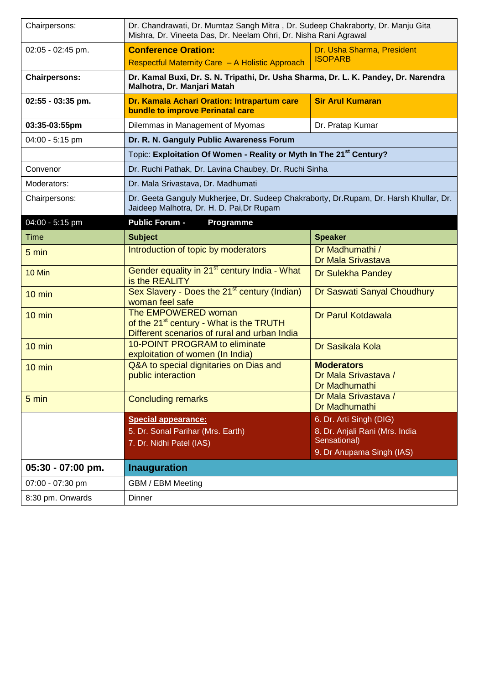| Chairpersons:        | Dr. Chandrawati, Dr. Mumtaz Sangh Mitra, Dr. Sudeep Chakraborty, Dr. Manju Gita<br>Mishra, Dr. Vineeta Das, Dr. Neelam Ohri, Dr. Nisha Rani Agrawal |                                                                           |
|----------------------|-----------------------------------------------------------------------------------------------------------------------------------------------------|---------------------------------------------------------------------------|
| 02:05 - 02:45 pm.    | <b>Conference Oration:</b><br>Dr. Usha Sharma, President<br><b>ISOPARB</b><br>Respectful Maternity Care - A Holistic Approach                       |                                                                           |
| <b>Chairpersons:</b> | Dr. Kamal Buxi, Dr. S. N. Tripathi, Dr. Usha Sharma, Dr. L. K. Pandey, Dr. Narendra<br>Malhotra, Dr. Manjari Matah                                  |                                                                           |
| $02:55 - 03:35$ pm.  | Dr. Kamala Achari Oration: Intrapartum care<br>bundle to improve Perinatal care                                                                     | <b>Sir Arul Kumaran</b>                                                   |
| 03:35-03:55pm        | Dilemmas in Management of Myomas                                                                                                                    | Dr. Pratap Kumar                                                          |
| 04:00 - 5:15 pm      | Dr. R. N. Ganguly Public Awareness Forum                                                                                                            |                                                                           |
|                      | Topic: Exploitation Of Women - Reality or Myth In The 21 <sup>st</sup> Century?                                                                     |                                                                           |
| Convenor             | Dr. Ruchi Pathak, Dr. Lavina Chaubey, Dr. Ruchi Sinha                                                                                               |                                                                           |
| Moderators:          | Dr. Mala Srivastava, Dr. Madhumati                                                                                                                  |                                                                           |
| Chairpersons:        | Dr. Geeta Ganguly Mukherjee, Dr. Sudeep Chakraborty, Dr. Rupam, Dr. Harsh Khullar, Dr.<br>Jaideep Malhotra, Dr. H. D. Pai, Dr Rupam                 |                                                                           |
| 04:00 - 5:15 pm      | <b>Public Forum -</b><br>Programme                                                                                                                  |                                                                           |
| Time                 | <b>Subject</b>                                                                                                                                      | <b>Speaker</b>                                                            |
| 5 min                | Introduction of topic by moderators                                                                                                                 | Dr Madhumathi /<br><b>Dr Mala Srivastava</b>                              |
| 10 Min               | Gender equality in 21 <sup>st</sup> century India - What<br>is the REALITY                                                                          | Dr Sulekha Pandey                                                         |
| $10 \text{ min}$     | Sex Slavery - Does the 21 <sup>st</sup> century (Indian)<br>woman feel safe                                                                         | Dr Saswati Sanyal Choudhury                                               |
| $10 \text{ min}$     | The EMPOWERED woman<br>of the 21 <sup>st</sup> century - What is the TRUTH<br>Different scenarios of rural and urban India                          | Dr Parul Kotdawala                                                        |
| $10 \text{ min}$     | <b>10-POINT PROGRAM to eliminate</b><br>exploitation of women (In India)                                                                            | Dr Sasikala Kola                                                          |
| $10 \text{ min}$     | Q&A to special dignitaries on Dias and<br>public interaction                                                                                        | <b>Moderators</b><br>Dr Mala Srivastava /<br>Dr Madhumathi                |
| 5 min                | <b>Concluding remarks</b>                                                                                                                           | Dr Mala Srivastava /<br>Dr Madhumathi                                     |
|                      | <b>Special appearance:</b><br>5. Dr. Sonal Parihar (Mrs. Earth)<br>7. Dr. Nidhi Patel (IAS)                                                         | 6. Dr. Arti Singh (DIG)<br>8. Dr. Anjali Rani (Mrs. India<br>Sensational) |
|                      |                                                                                                                                                     | 9. Dr Anupama Singh (IAS)                                                 |
| 05:30 - 07:00 pm.    | <b>Inauguration</b>                                                                                                                                 |                                                                           |
| 07:00 - 07:30 pm     | GBM / EBM Meeting                                                                                                                                   |                                                                           |
| 8:30 pm. Onwards     | Dinner                                                                                                                                              |                                                                           |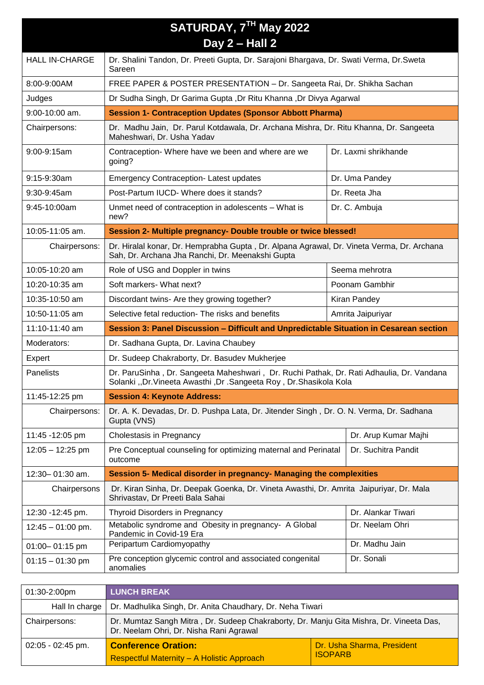| SATURDAY, 7TH May 2022 |                                                                                                                                                               |                |                      |
|------------------------|---------------------------------------------------------------------------------------------------------------------------------------------------------------|----------------|----------------------|
|                        | Day 2 - Hall 2                                                                                                                                                |                |                      |
| <b>HALL IN-CHARGE</b>  | Dr. Shalini Tandon, Dr. Preeti Gupta, Dr. Sarajoni Bhargava, Dr. Swati Verma, Dr. Sweta<br>Sareen                                                             |                |                      |
| 8:00-9:00AM            | FREE PAPER & POSTER PRESENTATION - Dr. Sangeeta Rai, Dr. Shikha Sachan                                                                                        |                |                      |
| Judges                 | Dr Sudha Singh, Dr Garima Gupta, Dr Ritu Khanna, Dr Divya Agarwal                                                                                             |                |                      |
| 9:00-10:00 am.         | <b>Session 1- Contraception Updates (Sponsor Abbott Pharma)</b>                                                                                               |                |                      |
| Chairpersons:          | Dr. Madhu Jain, Dr. Parul Kotdawala, Dr. Archana Mishra, Dr. Ritu Khanna, Dr. Sangeeta<br>Maheshwari, Dr. Usha Yadav                                          |                |                      |
| 9:00-9:15am            | Contraception- Where have we been and where are we<br>going?                                                                                                  |                | Dr. Laxmi shrikhande |
| 9:15-9:30am            | <b>Emergency Contraception-Latest updates</b>                                                                                                                 |                | Dr. Uma Pandey       |
| 9:30-9:45am            | Post-Partum IUCD- Where does it stands?                                                                                                                       |                | Dr. Reeta Jha        |
| 9:45-10:00am           | Unmet need of contraception in adolescents - What is<br>new?                                                                                                  |                | Dr. C. Ambuja        |
| 10:05-11:05 am.        | Session 2- Multiple pregnancy- Double trouble or twice blessed!                                                                                               |                |                      |
| Chairpersons:          | Dr. Hiralal konar, Dr. Hemprabha Gupta, Dr. Alpana Agrawal, Dr. Vineta Verma, Dr. Archana<br>Sah, Dr. Archana Jha Ranchi, Dr. Meenakshi Gupta                 |                |                      |
| 10:05-10:20 am         | Role of USG and Doppler in twins                                                                                                                              |                | Seema mehrotra       |
| 10:20-10:35 am         | Soft markers- What next?                                                                                                                                      | Poonam Gambhir |                      |
| 10:35-10:50 am         | Discordant twins- Are they growing together?<br>Kiran Pandey                                                                                                  |                |                      |
| 10:50-11:05 am         | Selective fetal reduction- The risks and benefits<br>Amrita Jaipuriyar                                                                                        |                |                      |
| 11:10-11:40 am         | Session 3: Panel Discussion - Difficult and Unpredictable Situation in Cesarean section                                                                       |                |                      |
| Moderators:            | Dr. Sadhana Gupta, Dr. Lavina Chaubey                                                                                                                         |                |                      |
| Expert                 | Dr. Sudeep Chakraborty, Dr. Basudev Mukherjee                                                                                                                 |                |                      |
| Panelists              | Dr. ParuSinha, Dr. Sangeeta Maheshwari, Dr. Ruchi Pathak, Dr. Rati Adhaulia, Dr. Vandana<br>Solanki "Dr.Vineeta Awasthi ,Dr .Sangeeta Roy , Dr.Shasikola Kola |                |                      |
| 11:45-12:25 pm         | <b>Session 4: Keynote Address:</b>                                                                                                                            |                |                      |
| Chairpersons:          | Dr. A. K. Devadas, Dr. D. Pushpa Lata, Dr. Jitender Singh, Dr. O. N. Verma, Dr. Sadhana<br>Gupta (VNS)                                                        |                |                      |
| 11:45 - 12:05 pm       | Cholestasis in Pregnancy                                                                                                                                      |                | Dr. Arup Kumar Majhi |
| 12:05 - 12:25 pm       | Pre Conceptual counseling for optimizing maternal and Perinatal<br>Dr. Suchitra Pandit<br>outcome                                                             |                |                      |
| 12:30-01:30 am.        | Session 5- Medical disorder in pregnancy- Managing the complexities                                                                                           |                |                      |
| Chairpersons           | Dr. Kiran Sinha, Dr. Deepak Goenka, Dr. Vineta Awasthi, Dr. Amrita Jaipuriyar, Dr. Mala<br>Shrivastav, Dr Preeti Bala Sahai                                   |                |                      |
| 12:30 - 12:45 pm.      | <b>Thyroid Disorders in Pregnancy</b><br>Dr. Alankar Tiwari                                                                                                   |                |                      |
| $12:45 - 01:00$ pm.    | Metabolic syndrome and Obesity in pregnancy- A Global<br>Pandemic in Covid-19 Era                                                                             |                | Dr. Neelam Ohri      |
| 01:00-01:15 pm         | Peripartum Cardiomyopathy<br>Dr. Madhu Jain                                                                                                                   |                |                      |
| $01:15 - 01:30$ pm     | Pre conception glycemic control and associated congenital<br>anomalies                                                                                        |                | Dr. Sonali           |

| 01:30-2:00pm        | <b>LUNCH BREAK</b>                                                                                                                 |                                              |
|---------------------|------------------------------------------------------------------------------------------------------------------------------------|----------------------------------------------|
| Hall In charge      | Dr. Madhulika Singh, Dr. Anita Chaudhary, Dr. Neha Tiwari                                                                          |                                              |
| Chairpersons:       | Dr. Mumtaz Sangh Mitra, Dr. Sudeep Chakraborty, Dr. Manju Gita Mishra, Dr. Vineeta Das,<br>Dr. Neelam Ohri, Dr. Nisha Rani Agrawal |                                              |
| $02:05 - 02:45$ pm. | <b>Conference Oration:</b><br><b>Respectful Maternity - A Holistic Approach</b>                                                    | Dr. Usha Sharma, President<br><b>ISOPARB</b> |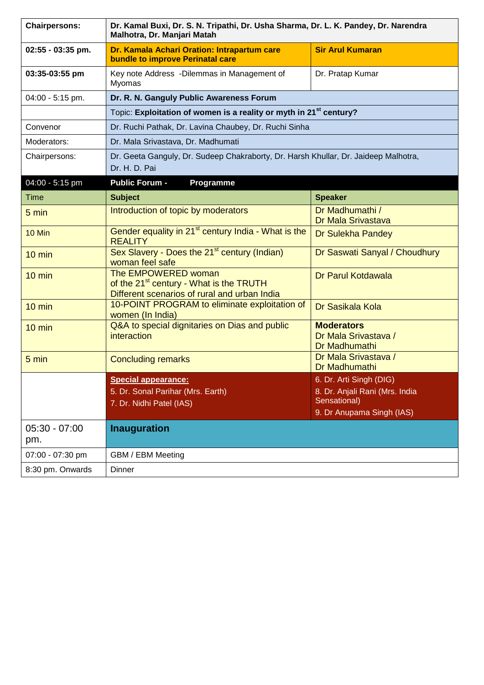| <b>Chairpersons:</b>   | Dr. Kamal Buxi, Dr. S. N. Tripathi, Dr. Usha Sharma, Dr. L. K. Pandey, Dr. Narendra<br>Malhotra, Dr. Manjari Matah         |                                                            |
|------------------------|----------------------------------------------------------------------------------------------------------------------------|------------------------------------------------------------|
| 02:55 - 03:35 pm.      | Dr. Kamala Achari Oration: Intrapartum care<br>bundle to improve Perinatal care                                            | <b>Sir Arul Kumaran</b>                                    |
| 03:35-03:55 pm         | Key note Address - Dilemmas in Management of<br>Myomas                                                                     | Dr. Pratap Kumar                                           |
| 04:00 - 5:15 pm.       | Dr. R. N. Ganguly Public Awareness Forum                                                                                   |                                                            |
|                        | Topic: Exploitation of women is a reality or myth in 21 <sup>st</sup> century?                                             |                                                            |
| Convenor               | Dr. Ruchi Pathak, Dr. Lavina Chaubey, Dr. Ruchi Sinha                                                                      |                                                            |
| Moderators:            | Dr. Mala Srivastava, Dr. Madhumati                                                                                         |                                                            |
| Chairpersons:          | Dr. Geeta Ganguly, Dr. Sudeep Chakraborty, Dr. Harsh Khullar, Dr. Jaideep Malhotra,<br>Dr. H. D. Pai                       |                                                            |
| 04:00 - 5:15 pm        | <b>Public Forum -</b><br>Programme                                                                                         |                                                            |
| <b>Time</b>            | <b>Subject</b>                                                                                                             | <b>Speaker</b>                                             |
| 5 min                  | Introduction of topic by moderators                                                                                        | Dr Madhumathi /<br>Dr Mala Srivastava                      |
| 10 Min                 | Gender equality in 21 <sup>st</sup> century India - What is the<br><b>REALITY</b>                                          | Dr Sulekha Pandey                                          |
| $10 \text{ min}$       | Sex Slavery - Does the 21 <sup>st</sup> century (Indian)<br>woman feel safe                                                | Dr Saswati Sanyal / Choudhury                              |
| $10 \text{ min}$       | The EMPOWERED woman<br>of the 21 <sup>st</sup> century - What is the TRUTH<br>Different scenarios of rural and urban India | Dr Parul Kotdawala                                         |
| $10 \text{ min}$       | 10-POINT PROGRAM to eliminate exploitation of<br>women (In India)                                                          | Dr Sasikala Kola                                           |
| $10 \text{ min}$       | Q&A to special dignitaries on Dias and public<br><i>interaction</i>                                                        | <b>Moderators</b><br>Dr Mala Srivastava /<br>Dr Madhumathi |
| 5 min                  | <b>Concluding remarks</b>                                                                                                  | Dr Mala Srivastava /<br>Dr Madhumathi                      |
|                        | <b>Special appearance:</b>                                                                                                 | 6. Dr. Arti Singh (DIG)                                    |
|                        | 5. Dr. Sonal Parihar (Mrs. Earth)                                                                                          | 8. Dr. Anjali Rani (Mrs. India                             |
|                        | 7. Dr. Nidhi Patel (IAS)                                                                                                   | Sensational)<br>9. Dr Anupama Singh (IAS)                  |
| $05:30 - 07:00$<br>pm. | <b>Inauguration</b>                                                                                                        |                                                            |
| 07:00 - 07:30 pm       | GBM / EBM Meeting                                                                                                          |                                                            |
| 8:30 pm. Onwards       | Dinner                                                                                                                     |                                                            |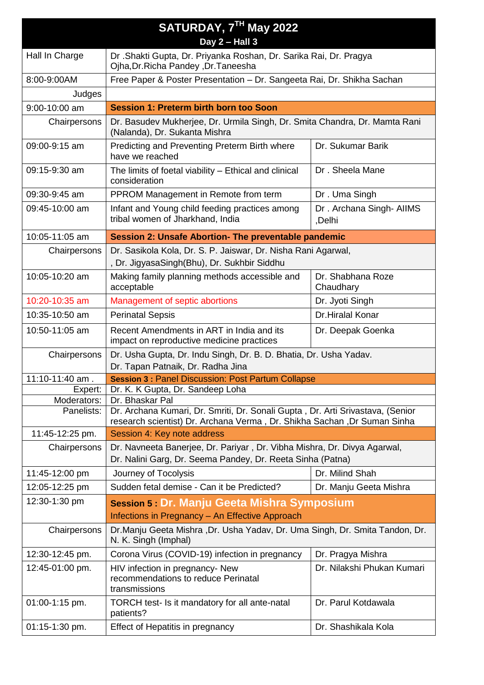| SATURDAY, 7TH May 2022    |                                                                                                                                        |                                   |  |
|---------------------------|----------------------------------------------------------------------------------------------------------------------------------------|-----------------------------------|--|
|                           | Day $2$ – Hall $3$                                                                                                                     |                                   |  |
| Hall In Charge            | Dr. Shakti Gupta, Dr. Priyanka Roshan, Dr. Sarika Rai, Dr. Pragya<br>Ojha, Dr. Richa Pandey, Dr. Taneesha                              |                                   |  |
| 8:00-9:00AM               | Free Paper & Poster Presentation - Dr. Sangeeta Rai, Dr. Shikha Sachan                                                                 |                                   |  |
| Judges                    |                                                                                                                                        |                                   |  |
| 9:00-10:00 am             | <b>Session 1: Preterm birth born too Soon</b>                                                                                          |                                   |  |
| Chairpersons              | Dr. Basudev Mukherjee, Dr. Urmila Singh, Dr. Smita Chandra, Dr. Mamta Rani<br>(Nalanda), Dr. Sukanta Mishra                            |                                   |  |
| 09:00-9:15 am             | Predicting and Preventing Preterm Birth where<br>have we reached                                                                       | Dr. Sukumar Barik                 |  |
| 09:15-9:30 am             | The limits of foetal viability – Ethical and clinical<br>consideration                                                                 | Dr. Sheela Mane                   |  |
| 09:30-9:45 am             | PPROM Management in Remote from term                                                                                                   | Dr. Uma Singh                     |  |
| 09:45-10:00 am            | Infant and Young child feeding practices among<br>tribal women of Jharkhand, India                                                     | Dr. Archana Singh-AllMS<br>,Delhi |  |
| 10:05-11:05 am            | Session 2: Unsafe Abortion- The preventable pandemic                                                                                   |                                   |  |
| Chairpersons              | Dr. Sasikola Kola, Dr. S. P. Jaiswar, Dr. Nisha Rani Agarwal,<br>, Dr. JigyasaSingh(Bhu), Dr. Sukhbir Siddhu                           |                                   |  |
| 10:05-10:20 am            | Making family planning methods accessible and<br>Dr. Shabhana Roze<br>acceptable<br>Chaudhary                                          |                                   |  |
| 10:20-10:35 am            | Management of septic abortions                                                                                                         | Dr. Jyoti Singh                   |  |
| 10:35-10:50 am            | <b>Perinatal Sepsis</b>                                                                                                                | Dr.Hiralal Konar                  |  |
| 10:50-11:05 am            | Recent Amendments in ART in India and its<br>Dr. Deepak Goenka<br>impact on reproductive medicine practices                            |                                   |  |
| Chairpersons              | Dr. Usha Gupta, Dr. Indu Singh, Dr. B. D. Bhatia, Dr. Usha Yadav.<br>Dr. Tapan Patnaik, Dr. Radha Jina                                 |                                   |  |
| 11:10-11:40 am.           | <b>Session 3: Panel Discussion: Post Partum Collapse</b>                                                                               |                                   |  |
| Expert:                   | Dr. K. K Gupta, Dr. Sandeep Loha                                                                                                       |                                   |  |
| Moderators:<br>Panelists: | Dr. Bhaskar Pal<br>Dr. Archana Kumari, Dr. Smriti, Dr. Sonali Gupta, Dr. Arti Srivastava, (Senior                                      |                                   |  |
|                           | research scientist) Dr. Archana Verma, Dr. Shikha Sachan, Dr Suman Sinha                                                               |                                   |  |
| 11:45-12:25 pm.           | Session 4: Key note address                                                                                                            |                                   |  |
| Chairpersons              | Dr. Navneeta Banerjee, Dr. Pariyar, Dr. Vibha Mishra, Dr. Divya Agarwal,<br>Dr. Nalini Garg, Dr. Seema Pandey, Dr. Reeta Sinha (Patna) |                                   |  |
| 11:45-12:00 pm            | Journey of Tocolysis                                                                                                                   | Dr. Milind Shah                   |  |
| 12:05-12:25 pm            | Sudden fetal demise - Can it be Predicted?<br>Dr. Manju Geeta Mishra                                                                   |                                   |  |
| 12:30-1:30 pm             | Session 5 : Dr. Manju Geeta Mishra Symposium                                                                                           |                                   |  |
|                           | Infections in Pregnancy - An Effective Approach                                                                                        |                                   |  |
| Chairpersons              | Dr.Manju Geeta Mishra ,Dr. Usha Yadav, Dr. Uma Singh, Dr. Smita Tandon, Dr.<br>N. K. Singh (Imphal)                                    |                                   |  |
| 12:30-12:45 pm.           | Corona Virus (COVID-19) infection in pregnancy                                                                                         | Dr. Pragya Mishra                 |  |
| 12:45-01:00 pm.           | HIV infection in pregnancy- New<br>recommendations to reduce Perinatal<br>transmissions                                                | Dr. Nilakshi Phukan Kumari        |  |
| 01:00-1:15 pm.            | TORCH test- Is it mandatory for all ante-natal<br>patients?                                                                            | Dr. Parul Kotdawala               |  |
| 01:15-1:30 pm.            | Effect of Hepatitis in pregnancy                                                                                                       | Dr. Shashikala Kola               |  |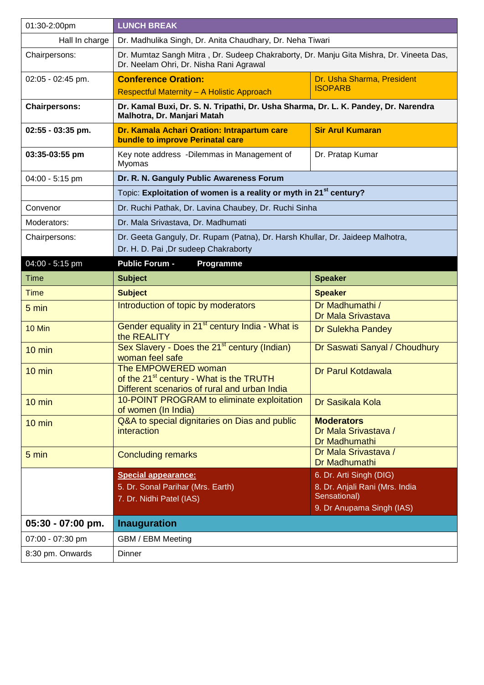| 01:30-2:00pm         | <b>LUNCH BREAK</b>                                                                                                                 |                                                            |  |
|----------------------|------------------------------------------------------------------------------------------------------------------------------------|------------------------------------------------------------|--|
| Hall In charge       | Dr. Madhulika Singh, Dr. Anita Chaudhary, Dr. Neha Tiwari                                                                          |                                                            |  |
| Chairpersons:        | Dr. Mumtaz Sangh Mitra, Dr. Sudeep Chakraborty, Dr. Manju Gita Mishra, Dr. Vineeta Das,<br>Dr. Neelam Ohri, Dr. Nisha Rani Agrawal |                                                            |  |
| 02:05 - 02:45 pm.    | <b>Conference Oration:</b>                                                                                                         | Dr. Usha Sharma, President<br><b>ISOPARB</b>               |  |
|                      | Respectful Maternity - A Holistic Approach                                                                                         |                                                            |  |
| <b>Chairpersons:</b> | Dr. Kamal Buxi, Dr. S. N. Tripathi, Dr. Usha Sharma, Dr. L. K. Pandey, Dr. Narendra<br>Malhotra, Dr. Manjari Matah                 |                                                            |  |
| 02:55 - 03:35 pm.    | Dr. Kamala Achari Oration: Intrapartum care<br>bundle to improve Perinatal care                                                    | <b>Sir Arul Kumaran</b>                                    |  |
| 03:35-03:55 pm       | Key note address -Dilemmas in Management of<br>Myomas                                                                              | Dr. Pratap Kumar                                           |  |
| 04:00 - 5:15 pm      | Dr. R. N. Ganguly Public Awareness Forum                                                                                           |                                                            |  |
|                      | Topic: Exploitation of women is a reality or myth in 21 <sup>st</sup> century?                                                     |                                                            |  |
| Convenor             | Dr. Ruchi Pathak, Dr. Lavina Chaubey, Dr. Ruchi Sinha                                                                              |                                                            |  |
| Moderators:          | Dr. Mala Srivastava, Dr. Madhumati                                                                                                 |                                                            |  |
| Chairpersons:        | Dr. Geeta Ganguly, Dr. Rupam (Patna), Dr. Harsh Khullar, Dr. Jaideep Malhotra,<br>Dr. H. D. Pai , Dr sudeep Chakraborty            |                                                            |  |
| 04:00 - 5:15 pm      | <b>Public Forum -</b><br>Programme                                                                                                 |                                                            |  |
| <b>Time</b>          | <b>Subject</b>                                                                                                                     | <b>Speaker</b>                                             |  |
| <b>Time</b>          | <b>Subject</b>                                                                                                                     | <b>Speaker</b>                                             |  |
| 5 min                | Introduction of topic by moderators                                                                                                | Dr Madhumathi /<br>Dr Mala Srivastava                      |  |
| 10 Min               | Gender equality in 21 <sup>st</sup> century India - What is<br>the REALITY                                                         | Dr Sulekha Pandey                                          |  |
| $10 \text{ min}$     | Sex Slavery - Does the 21 <sup>st</sup> century (Indian)<br>woman feel safe                                                        | Dr Saswati Sanyal / Choudhury                              |  |
| $10 \text{ min}$     | The EMPOWERED woman<br>of the 21 <sup>st</sup> century - What is the TRUTH<br>Different scenarios of rural and urban India         | Dr Parul Kotdawala                                         |  |
| $10 \text{ min}$     | 10-POINT PROGRAM to eliminate exploitation<br>of women (In India)                                                                  | Dr Sasikala Kola                                           |  |
| $10 \text{ min}$     | Q&A to special dignitaries on Dias and public<br><i>interaction</i>                                                                | <b>Moderators</b><br>Dr Mala Srivastava /<br>Dr Madhumathi |  |
| 5 min                | <b>Concluding remarks</b>                                                                                                          | Dr Mala Srivastava /<br>Dr Madhumathi                      |  |
|                      | <b>Special appearance:</b>                                                                                                         | 6. Dr. Arti Singh (DIG)                                    |  |
|                      | 5. Dr. Sonal Parihar (Mrs. Earth)                                                                                                  | 8. Dr. Anjali Rani (Mrs. India<br>Sensational)             |  |
|                      | 7. Dr. Nidhi Patel (IAS)                                                                                                           | 9. Dr Anupama Singh (IAS)                                  |  |
| $05:30 - 07:00$ pm.  | <b>Inauguration</b>                                                                                                                |                                                            |  |
| 07:00 - 07:30 pm     | GBM / EBM Meeting                                                                                                                  |                                                            |  |
| 8:30 pm. Onwards     | Dinner                                                                                                                             |                                                            |  |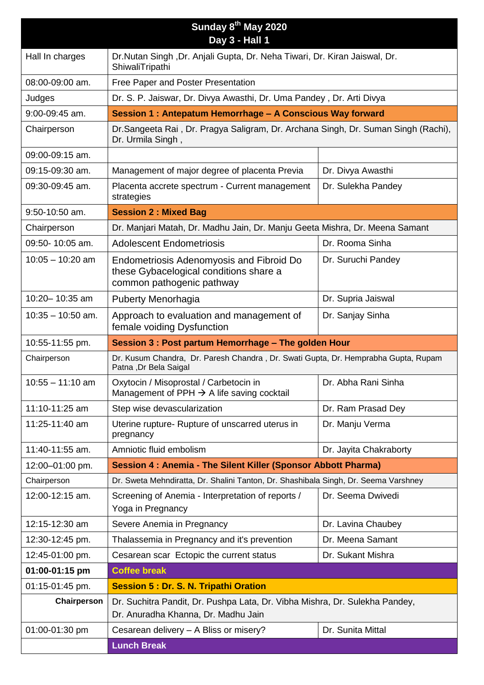| Sunday 8 <sup>th</sup> May 2020 |                                                                                                                        |                                                           |  |
|---------------------------------|------------------------------------------------------------------------------------------------------------------------|-----------------------------------------------------------|--|
|                                 | Day 3 - Hall 1                                                                                                         |                                                           |  |
| Hall In charges                 | Dr. Nutan Singh, Dr. Anjali Gupta, Dr. Neha Tiwari, Dr. Kiran Jaiswal, Dr.<br>ShiwaliTripathi                          |                                                           |  |
| 08:00-09:00 am.                 | Free Paper and Poster Presentation                                                                                     |                                                           |  |
| Judges                          | Dr. S. P. Jaiswar, Dr. Divya Awasthi, Dr. Uma Pandey, Dr. Arti Divya                                                   |                                                           |  |
| 9:00-09:45 am.                  |                                                                                                                        | Session 1: Antepatum Hemorrhage - A Conscious Way forward |  |
| Chairperson                     | Dr.Sangeeta Rai, Dr. Pragya Saligram, Dr. Archana Singh, Dr. Suman Singh (Rachi),<br>Dr. Urmila Singh,                 |                                                           |  |
| 09:00-09:15 am.                 |                                                                                                                        |                                                           |  |
| 09:15-09:30 am.                 | Management of major degree of placenta Previa                                                                          | Dr. Divya Awasthi                                         |  |
| 09:30-09:45 am.                 | Placenta accrete spectrum - Current management<br>strategies                                                           | Dr. Sulekha Pandey                                        |  |
| 9:50-10:50 am.                  | <b>Session 2: Mixed Bag</b>                                                                                            |                                                           |  |
| Chairperson                     | Dr. Manjari Matah, Dr. Madhu Jain, Dr. Manju Geeta Mishra, Dr. Meena Samant                                            |                                                           |  |
| 09:50-10:05 am.                 | <b>Adolescent Endometriosis</b>                                                                                        | Dr. Rooma Sinha                                           |  |
| $10:05 - 10:20$ am              | <b>Endometriosis Adenomyosis and Fibroid Do</b><br>these Gybacelogical conditions share a<br>common pathogenic pathway | Dr. Suruchi Pandey                                        |  |
| 10:20-10:35 am                  | Puberty Menorhagia                                                                                                     | Dr. Supria Jaiswal                                        |  |
| $10:35 - 10:50$ am.             | Approach to evaluation and management of<br>female voiding Dysfunction                                                 | Dr. Sanjay Sinha                                          |  |
| 10:55-11:55 pm.                 | Session 3 : Post partum Hemorrhage - The golden Hour                                                                   |                                                           |  |
|                                 |                                                                                                                        |                                                           |  |
| Chairperson                     | Dr. Kusum Chandra, Dr. Paresh Chandra, Dr. Swati Gupta, Dr. Hemprabha Gupta, Rupam<br>Patna, Dr Bela Saigal            |                                                           |  |
| $10:55 - 11:10$ am              | Oxytocin / Misoprostal / Carbetocin in<br>Management of PPH $\rightarrow$ A life saving cocktail                       | Dr. Abha Rani Sinha                                       |  |
| 11:10-11:25 am                  | Step wise devascularization                                                                                            | Dr. Ram Prasad Dey                                        |  |
| 11:25-11:40 am                  | Uterine rupture- Rupture of unscarred uterus in<br>pregnancy                                                           | Dr. Manju Verma                                           |  |
| 11:40-11:55 am.                 | Amniotic fluid embolism                                                                                                | Dr. Jayita Chakraborty                                    |  |
| 12:00-01:00 pm.                 | Session 4 : Anemia - The Silent Killer (Sponsor Abbott Pharma)                                                         |                                                           |  |
| Chairperson                     | Dr. Sweta Mehndiratta, Dr. Shalini Tanton, Dr. Shashibala Singh, Dr. Seema Varshney                                    |                                                           |  |
| 12:00-12:15 am.                 | Screening of Anemia - Interpretation of reports /<br>Yoga in Pregnancy                                                 | Dr. Seema Dwivedi                                         |  |
| 12:15-12:30 am                  | Severe Anemia in Pregnancy                                                                                             | Dr. Lavina Chaubey                                        |  |
| 12:30-12:45 pm.                 | Thalassemia in Pregnancy and it's prevention                                                                           | Dr. Meena Samant                                          |  |
| 12:45-01:00 pm.                 | Cesarean scar Ectopic the current status                                                                               | Dr. Sukant Mishra                                         |  |
| 01:00-01:15 pm                  | <b>Coffee break</b>                                                                                                    |                                                           |  |
| 01:15-01:45 pm.                 | <b>Session 5: Dr. S. N. Tripathi Oration</b>                                                                           |                                                           |  |
| Chairperson                     | Dr. Suchitra Pandit, Dr. Pushpa Lata, Dr. Vibha Mishra, Dr. Sulekha Pandey,<br>Dr. Anuradha Khanna, Dr. Madhu Jain     |                                                           |  |
| 01:00-01:30 pm                  | Cesarean delivery - A Bliss or misery?                                                                                 | Dr. Sunita Mittal                                         |  |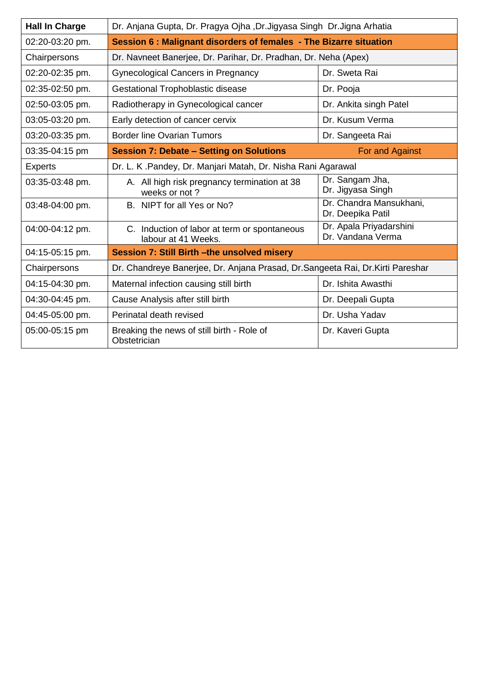| <b>Hall In Charge</b> | Dr. Anjana Gupta, Dr. Pragya Ojha ,Dr.Jigyasa Singh Dr.Jigna Arhatia            |                                              |
|-----------------------|---------------------------------------------------------------------------------|----------------------------------------------|
| 02:20-03:20 pm.       | Session 6 : Malignant disorders of females - The Bizarre situation              |                                              |
| Chairpersons          | Dr. Navneet Banerjee, Dr. Parihar, Dr. Pradhan, Dr. Neha (Apex)                 |                                              |
| 02:20-02:35 pm.       | <b>Gynecological Cancers in Pregnancy</b>                                       | Dr. Sweta Rai                                |
| 02:35-02:50 pm.       | <b>Gestational Trophoblastic disease</b>                                        | Dr. Pooja                                    |
| 02:50-03:05 pm.       | Radiotherapy in Gynecological cancer                                            | Dr. Ankita singh Patel                       |
| 03:05-03:20 pm.       | Early detection of cancer cervix                                                | Dr. Kusum Verma                              |
| 03:20-03:35 pm.       | <b>Border line Ovarian Tumors</b>                                               | Dr. Sangeeta Rai                             |
| 03:35-04:15 pm        | <b>Session 7: Debate - Setting on Solutions</b>                                 | For and Against                              |
| <b>Experts</b>        | Dr. L. K. Pandey, Dr. Manjari Matah, Dr. Nisha Rani Agarawal                    |                                              |
| 03:35-03:48 pm.       | A. All high risk pregnancy termination at 38<br>weeks or not?                   | Dr. Sangam Jha,<br>Dr. Jigyasa Singh         |
| 03:48-04:00 pm.       | B. NIPT for all Yes or No?                                                      | Dr. Chandra Mansukhani,<br>Dr. Deepika Patil |
| 04:00-04:12 pm.       | C. Induction of labor at term or spontaneous<br>labour at 41 Weeks.             | Dr. Apala Priyadarshini<br>Dr. Vandana Verma |
| 04:15-05:15 pm.       | Session 7: Still Birth - the unsolved misery                                    |                                              |
| Chairpersons          | Dr. Chandreye Banerjee, Dr. Anjana Prasad, Dr. Sangeeta Rai, Dr. Kirti Pareshar |                                              |
| 04:15-04:30 pm.       | Maternal infection causing still birth                                          | Dr. Ishita Awasthi                           |
| 04:30-04:45 pm.       | Cause Analysis after still birth                                                | Dr. Deepali Gupta                            |
| 04:45-05:00 pm.       | Perinatal death revised                                                         | Dr. Usha Yadav                               |
| 05:00-05:15 pm        | Breaking the news of still birth - Role of<br>Obstetrician                      | Dr. Kaveri Gupta                             |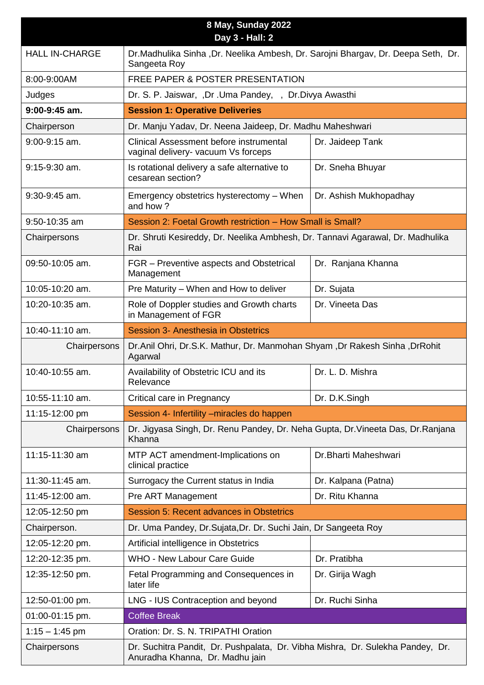| 8 May, Sunday 2022<br>Day 3 - Hall: 2 |                                                                                                                   |                                                                                  |  |
|---------------------------------------|-------------------------------------------------------------------------------------------------------------------|----------------------------------------------------------------------------------|--|
| <b>HALL IN-CHARGE</b>                 | Dr.Madhulika Sinha ,Dr. Neelika Ambesh, Dr. Sarojni Bhargav, Dr. Deepa Seth, Dr.<br>Sangeeta Roy                  |                                                                                  |  |
| 8:00-9:00AM                           | <b>FREE PAPER &amp; POSTER PRESENTATION</b>                                                                       |                                                                                  |  |
| Judges                                | Dr. S. P. Jaiswar, ,Dr .Uma Pandey, , Dr.Divya Awasthi                                                            |                                                                                  |  |
| $9:00-9:45$ am.                       | <b>Session 1: Operative Deliveries</b>                                                                            |                                                                                  |  |
| Chairperson                           | Dr. Manju Yadav, Dr. Neena Jaideep, Dr. Madhu Maheshwari                                                          |                                                                                  |  |
| 9:00-9:15 am.                         | Clinical Assessment before instrumental<br>vaginal delivery- vacuum Vs forceps                                    | Dr. Jaideep Tank                                                                 |  |
| $9:15-9:30$ am.                       | Is rotational delivery a safe alternative to<br>cesarean section?                                                 | Dr. Sneha Bhuyar                                                                 |  |
| $9:30-9:45$ am.                       | Emergency obstetrics hysterectomy - When<br>and how?                                                              | Dr. Ashish Mukhopadhay                                                           |  |
| 9:50-10:35 am                         | Session 2: Foetal Growth restriction - How Small is Small?                                                        |                                                                                  |  |
| Chairpersons                          | Rai                                                                                                               | Dr. Shruti Kesireddy, Dr. Neelika Ambhesh, Dr. Tannavi Agarawal, Dr. Madhulika   |  |
| 09:50-10:05 am.                       | FGR – Preventive aspects and Obstetrical<br>Management                                                            | Dr. Ranjana Khanna                                                               |  |
| 10:05-10:20 am.                       | Pre Maturity – When and How to deliver                                                                            | Dr. Sujata                                                                       |  |
| 10:20-10:35 am.                       | Role of Doppler studies and Growth charts<br>in Management of FGR                                                 | Dr. Vineeta Das                                                                  |  |
| 10:40-11:10 am.                       | Session 3- Anesthesia in Obstetrics                                                                               |                                                                                  |  |
| Chairpersons                          | Dr.Anil Ohri, Dr.S.K. Mathur, Dr. Manmohan Shyam ,Dr Rakesh Sinha ,DrRohit<br>Agarwal                             |                                                                                  |  |
| 10:40-10:55 am.                       | Availability of Obstetric ICU and its<br>Relevance                                                                | Dr. L. D. Mishra                                                                 |  |
| 10:55-11:10 am.                       | Critical care in Pregnancy                                                                                        | Dr. D.K.Singh                                                                    |  |
| 11:15-12:00 pm                        | Session 4- Infertility - miracles do happen                                                                       |                                                                                  |  |
| Chairpersons                          | Khanna                                                                                                            | Dr. Jigyasa Singh, Dr. Renu Pandey, Dr. Neha Gupta, Dr. Vineeta Das, Dr. Ranjana |  |
| 11:15-11:30 am                        | MTP ACT amendment-Implications on<br>clinical practice                                                            | Dr.Bharti Maheshwari                                                             |  |
| 11:30-11:45 am.                       | Surrogacy the Current status in India                                                                             | Dr. Kalpana (Patna)                                                              |  |
| 11:45-12:00 am.                       | Pre ART Management                                                                                                | Dr. Ritu Khanna                                                                  |  |
| 12:05-12:50 pm                        | Session 5: Recent advances in Obstetrics                                                                          |                                                                                  |  |
| Chairperson.                          | Dr. Uma Pandey, Dr. Sujata, Dr. Dr. Suchi Jain, Dr Sangeeta Roy                                                   |                                                                                  |  |
| 12:05-12:20 pm.                       | Artificial intelligence in Obstetrics                                                                             |                                                                                  |  |
| 12:20-12:35 pm.                       | <b>WHO - New Labour Care Guide</b>                                                                                | Dr. Pratibha                                                                     |  |
| 12:35-12:50 pm.                       | Fetal Programming and Consequences in<br>later life                                                               | Dr. Girija Wagh                                                                  |  |
| 12:50-01:00 pm.                       | LNG - IUS Contraception and beyond                                                                                | Dr. Ruchi Sinha                                                                  |  |
| 01:00-01:15 pm.                       | <b>Coffee Break</b>                                                                                               |                                                                                  |  |
| $1:15 - 1:45$ pm                      | Oration: Dr. S. N. TRIPATHI Oration                                                                               |                                                                                  |  |
| Chairpersons                          | Dr. Suchitra Pandit, Dr. Pushpalata, Dr. Vibha Mishra, Dr. Sulekha Pandey, Dr.<br>Anuradha Khanna, Dr. Madhu jain |                                                                                  |  |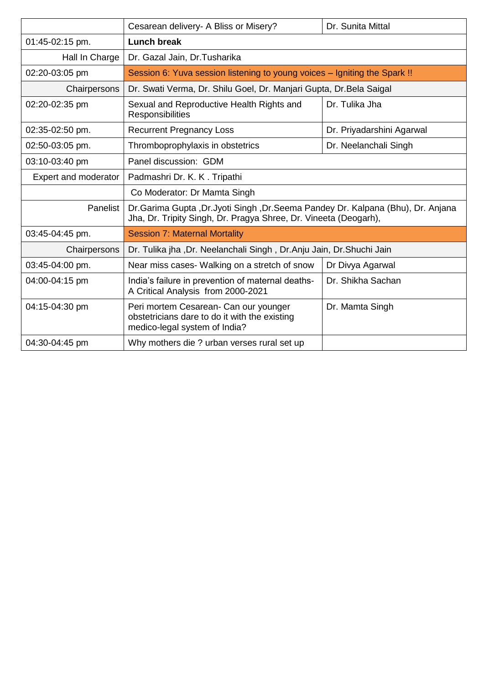|                      | Cesarean delivery- A Bliss or Misery?                                                                                                                   | Dr. Sunita Mittal         |  |
|----------------------|---------------------------------------------------------------------------------------------------------------------------------------------------------|---------------------------|--|
| 01:45-02:15 pm.      | <b>Lunch break</b>                                                                                                                                      |                           |  |
| Hall In Charge       | Dr. Gazal Jain, Dr. Tusharika                                                                                                                           |                           |  |
| 02:20-03:05 pm       | Session 6: Yuva session listening to young voices – Igniting the Spark !!                                                                               |                           |  |
| Chairpersons         | Dr. Swati Verma, Dr. Shilu Goel, Dr. Manjari Gupta, Dr. Bela Saigal                                                                                     |                           |  |
| 02:20-02:35 pm       | Sexual and Reproductive Health Rights and<br>Responsibilities                                                                                           | Dr. Tulika Jha            |  |
| 02:35-02:50 pm.      | <b>Recurrent Pregnancy Loss</b>                                                                                                                         | Dr. Priyadarshini Agarwal |  |
| 02:50-03:05 pm.      | Thromboprophylaxis in obstetrics                                                                                                                        | Dr. Neelanchali Singh     |  |
| 03:10-03:40 pm       | Panel discussion: GDM                                                                                                                                   |                           |  |
| Expert and moderator | Padmashri Dr. K. K. Tripathi                                                                                                                            |                           |  |
|                      | Co Moderator: Dr Mamta Singh                                                                                                                            |                           |  |
| Panelist             | Dr. Garima Gupta , Dr. Jyoti Singh , Dr. Seema Pandey Dr. Kalpana (Bhu), Dr. Anjana<br>Jha, Dr. Tripity Singh, Dr. Pragya Shree, Dr. Vineeta (Deogarh), |                           |  |
| 03:45-04:45 pm.      | <b>Session 7: Maternal Mortality</b>                                                                                                                    |                           |  |
| Chairpersons         | Dr. Tulika jha ,Dr. Neelanchali Singh, Dr.Anju Jain, Dr.Shuchi Jain                                                                                     |                           |  |
| 03:45-04:00 pm.      | Near miss cases- Walking on a stretch of snow                                                                                                           | Dr Divya Agarwal          |  |
| 04:00-04:15 pm       | India's failure in prevention of maternal deaths-<br>A Critical Analysis from 2000-2021                                                                 | Dr. Shikha Sachan         |  |
| 04:15-04:30 pm       | Peri mortem Cesarean- Can our younger<br>obstetricians dare to do it with the existing<br>medico-legal system of India?                                 | Dr. Mamta Singh           |  |
| 04:30-04:45 pm       | Why mothers die ? urban verses rural set up                                                                                                             |                           |  |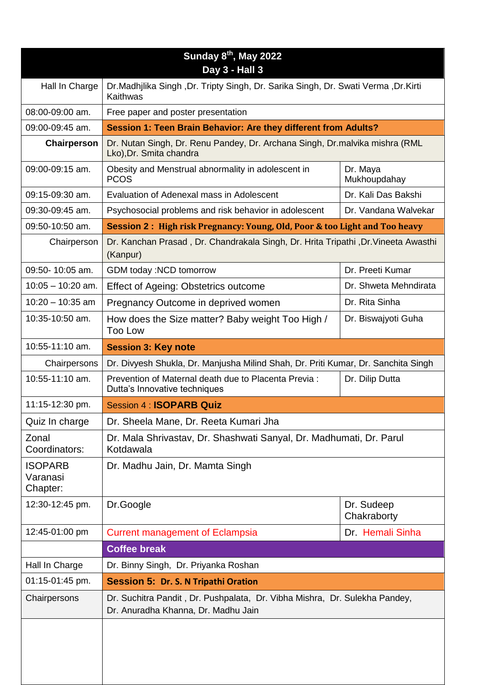|                                        | Sunday 8 <sup>th</sup> , May 2022<br>Day 3 - Hall 3                                                               |                           |  |
|----------------------------------------|-------------------------------------------------------------------------------------------------------------------|---------------------------|--|
| Hall In Charge                         | Dr.Madhjlika Singh, Dr. Tripty Singh, Dr. Sarika Singh, Dr. Swati Verma, Dr.Kirti<br>Kaithwas                     |                           |  |
| 08:00-09:00 am.                        | Free paper and poster presentation                                                                                |                           |  |
| 09:00-09:45 am.                        | Session 1: Teen Brain Behavior: Are they different from Adults?                                                   |                           |  |
| Chairperson                            | Dr. Nutan Singh, Dr. Renu Pandey, Dr. Archana Singh, Dr. malvika mishra (RML<br>Lko), Dr. Smita chandra           |                           |  |
| 09:00-09:15 am.                        | Obesity and Menstrual abnormality in adolescent in<br><b>PCOS</b>                                                 | Dr. Maya<br>Mukhoupdahay  |  |
| 09:15-09:30 am.                        | Evaluation of Adenexal mass in Adolescent                                                                         | Dr. Kali Das Bakshi       |  |
| 09:30-09:45 am.                        | Psychosocial problems and risk behavior in adolescent                                                             | Dr. Vandana Walvekar      |  |
| 09:50-10:50 am.                        | Session 2: High risk Pregnancy: Young, Old, Poor & too Light and Too heavy                                        |                           |  |
| Chairperson                            | Dr. Kanchan Prasad, Dr. Chandrakala Singh, Dr. Hrita Tripathi, Dr. Vineeta Awasthi<br>(Kanpur)                    |                           |  |
| 09:50-10:05 am.                        | GDM today :NCD tomorrow                                                                                           | Dr. Preeti Kumar          |  |
| $10:05 - 10:20$ am.                    | Effect of Ageing: Obstetrics outcome                                                                              | Dr. Shweta Mehndirata     |  |
| $10:20 - 10:35$ am                     | Pregnancy Outcome in deprived women                                                                               | Dr. Rita Sinha            |  |
| 10:35-10:50 am.                        | How does the Size matter? Baby weight Too High /<br>Too Low                                                       | Dr. Biswajyoti Guha       |  |
| 10:55-11:10 am.                        | <b>Session 3: Key note</b>                                                                                        |                           |  |
| Chairpersons                           | Dr. Divyesh Shukla, Dr. Manjusha Milind Shah, Dr. Priti Kumar, Dr. Sanchita Singh                                 |                           |  |
| 10:55-11:10 am.                        | Prevention of Maternal death due to Placenta Previa:<br>Dutta's Innovative techniques                             | Dr. Dilip Dutta           |  |
| 11:15-12:30 pm.                        | <b>Session 4 : ISOPARB Quiz</b>                                                                                   |                           |  |
| Quiz In charge                         | Dr. Sheela Mane, Dr. Reeta Kumari Jha                                                                             |                           |  |
| Zonal<br>Coordinators:                 | Dr. Mala Shrivastav, Dr. Shashwati Sanyal, Dr. Madhumati, Dr. Parul<br>Kotdawala                                  |                           |  |
| <b>ISOPARB</b><br>Varanasi<br>Chapter: | Dr. Madhu Jain, Dr. Mamta Singh                                                                                   |                           |  |
| 12:30-12:45 pm.                        | Dr.Google                                                                                                         | Dr. Sudeep<br>Chakraborty |  |
| 12:45-01:00 pm                         | <b>Current management of Eclampsia</b>                                                                            | Dr. Hemali Sinha          |  |
|                                        | <b>Coffee break</b>                                                                                               |                           |  |
| Hall In Charge                         | Dr. Binny Singh, Dr. Priyanka Roshan                                                                              |                           |  |
| 01:15-01:45 pm.                        | <b>Session 5: Dr. S. N Tripathi Oration</b>                                                                       |                           |  |
| Chairpersons                           | Dr. Suchitra Pandit, Dr. Pushpalata, Dr. Vibha Mishra, Dr. Sulekha Pandey,<br>Dr. Anuradha Khanna, Dr. Madhu Jain |                           |  |
|                                        |                                                                                                                   |                           |  |